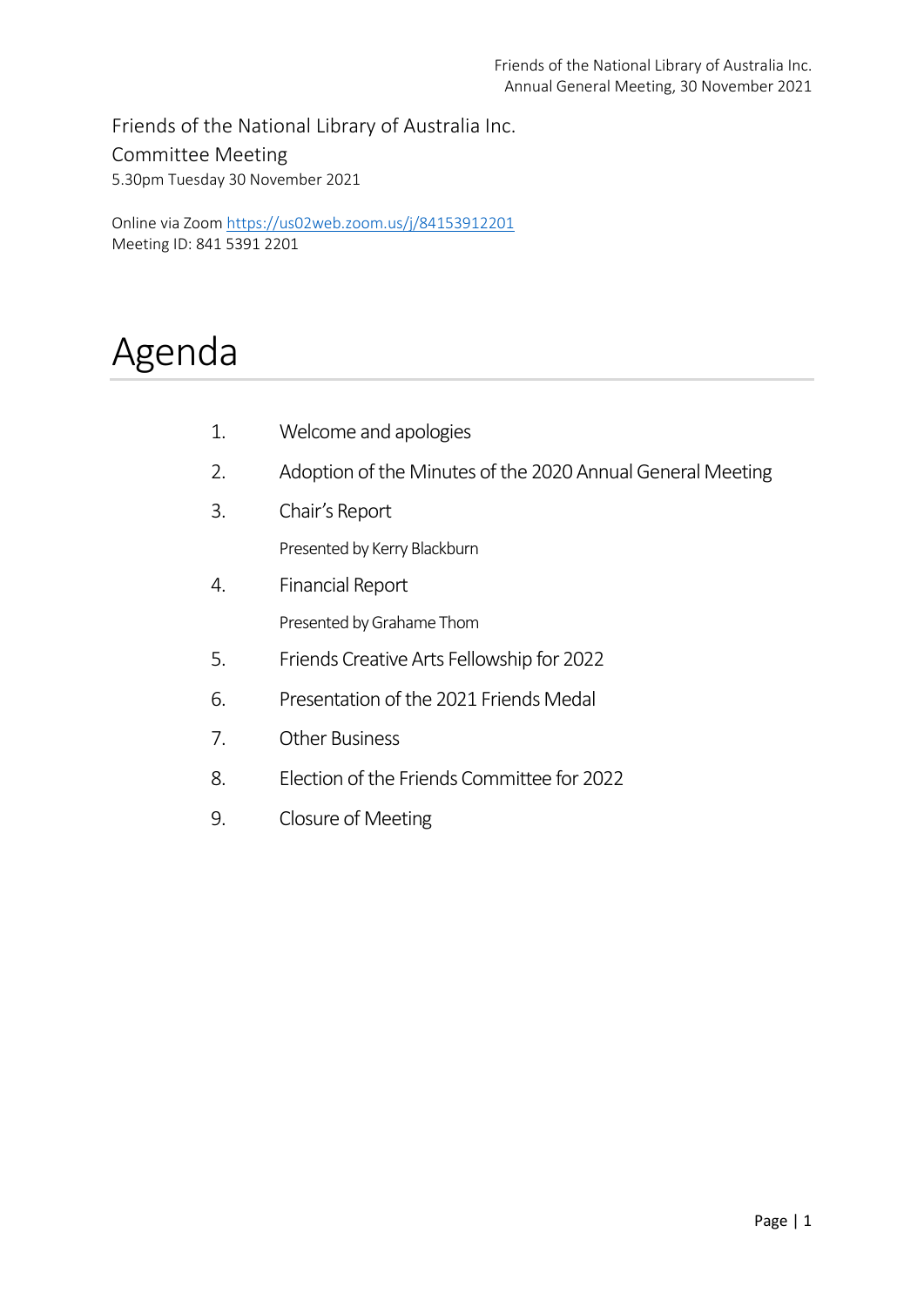Friends of the National Library of Australia Inc. Committee Meeting 5.30pm Tuesday 30 November 2021

Online via Zoom <https://us02web.zoom.us/j/84153912201> Meeting ID: 841 5391 2201

# Agenda

- 1. Welcome and apologies
- 2. Adoption of the Minutes of the 2020 Annual General Meeting
- 3. Chair's Report

Presented by Kerry Blackburn

- 4. Financial Report Presented by Grahame Thom
- 5. Friends Creative Arts Fellowship for 2022
- 6. Presentation of the 2021 Friends Medal
- 7. Other Business
- 8. Election of the Friends Committee for 2022
- 9. Closure of Meeting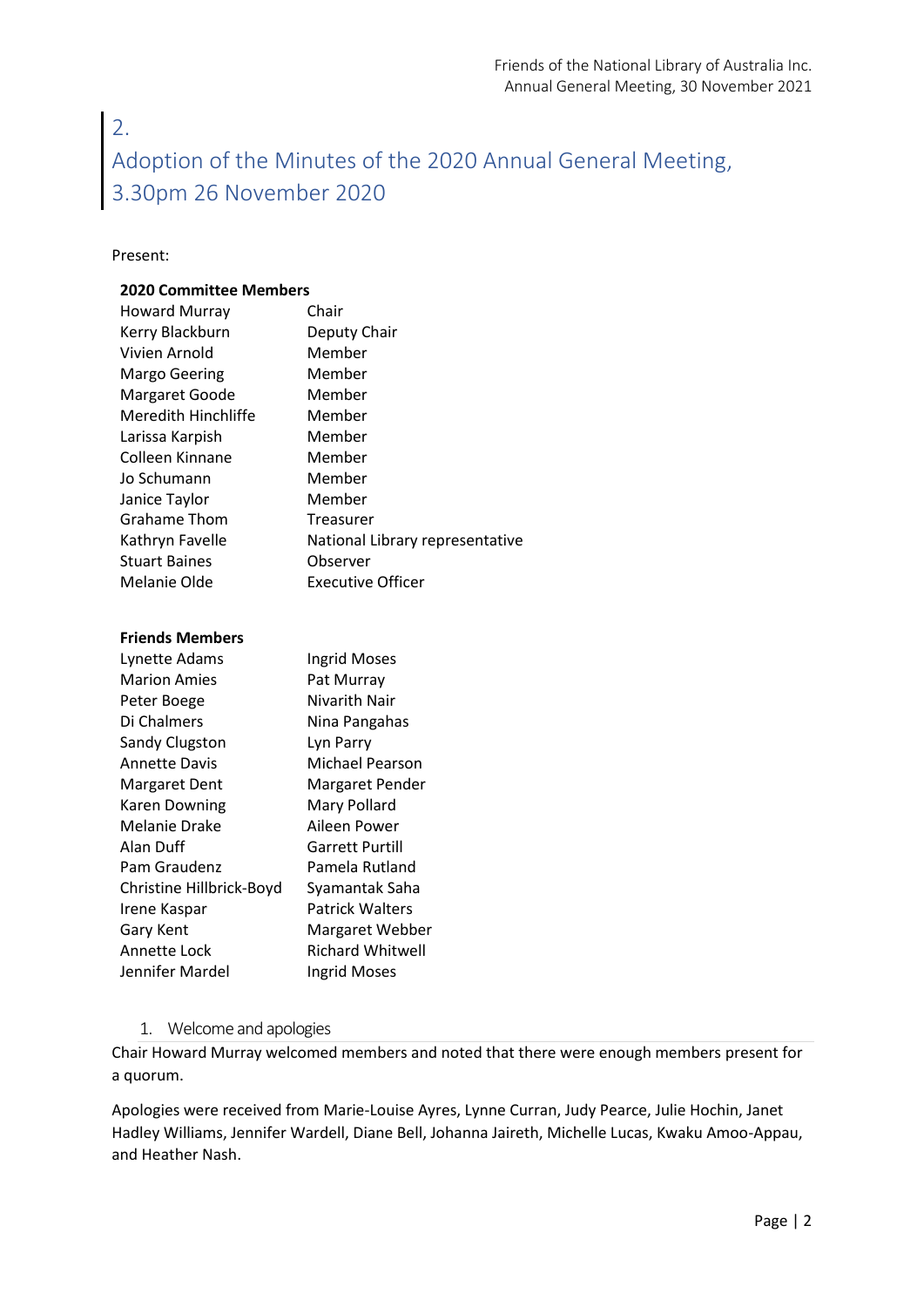# 2. Adoption of the Minutes of the 2020 Annual General Meeting, 3.30pm 26 November 2020

#### Present:

#### **2020 Committee Members**

| <b>Howard Murray</b> | Chair                           |
|----------------------|---------------------------------|
| Kerry Blackburn      | Deputy Chair                    |
| Vivien Arnold        | Member                          |
| Margo Geering        | Member                          |
| Margaret Goode       | Member                          |
| Meredith Hinchliffe  | Member                          |
| Larissa Karpish      | Member                          |
| Colleen Kinnane      | Member                          |
| Jo Schumann          | Member                          |
| Janice Taylor        | Member                          |
| <b>Grahame Thom</b>  | Treasurer                       |
| Kathryn Favelle      | National Library representative |
| <b>Stuart Baines</b> | Observer                        |
| Melanie Olde         | Executive Officer               |

#### **Friends Members**

| Lynette Adams            | <b>Ingrid Moses</b>    |
|--------------------------|------------------------|
| <b>Marion Amies</b>      | Pat Murray             |
| Peter Boege              | Nivarith Nair          |
| Di Chalmers              | Nina Pangahas          |
| Sandy Clugston           | Lyn Parry              |
| <b>Annette Davis</b>     | Michael Pearson        |
| <b>Margaret Dent</b>     | Margaret Pender        |
| <b>Karen Downing</b>     | Mary Pollard           |
| Melanie Drake            | Aileen Power           |
| Alan Duff                | Garrett Purtill        |
| Pam Graudenz             | Pamela Rutland         |
| Christine Hillbrick-Boyd | Syamantak Saha         |
| Irene Kaspar             | <b>Patrick Walters</b> |
| <b>Gary Kent</b>         | Margaret Webber        |
| Annette Lock             | Richard Whitwell       |
| Jennifer Mardel          | <b>Ingrid Moses</b>    |

### 1. Welcome and apologies

Chair Howard Murray welcomed members and noted that there were enough members present for a quorum.

Apologies were received from Marie-Louise Ayres, Lynne Curran, Judy Pearce, Julie Hochin, Janet Hadley Williams, Jennifer Wardell, Diane Bell, Johanna Jaireth, Michelle Lucas, Kwaku Amoo-Appau, and Heather Nash.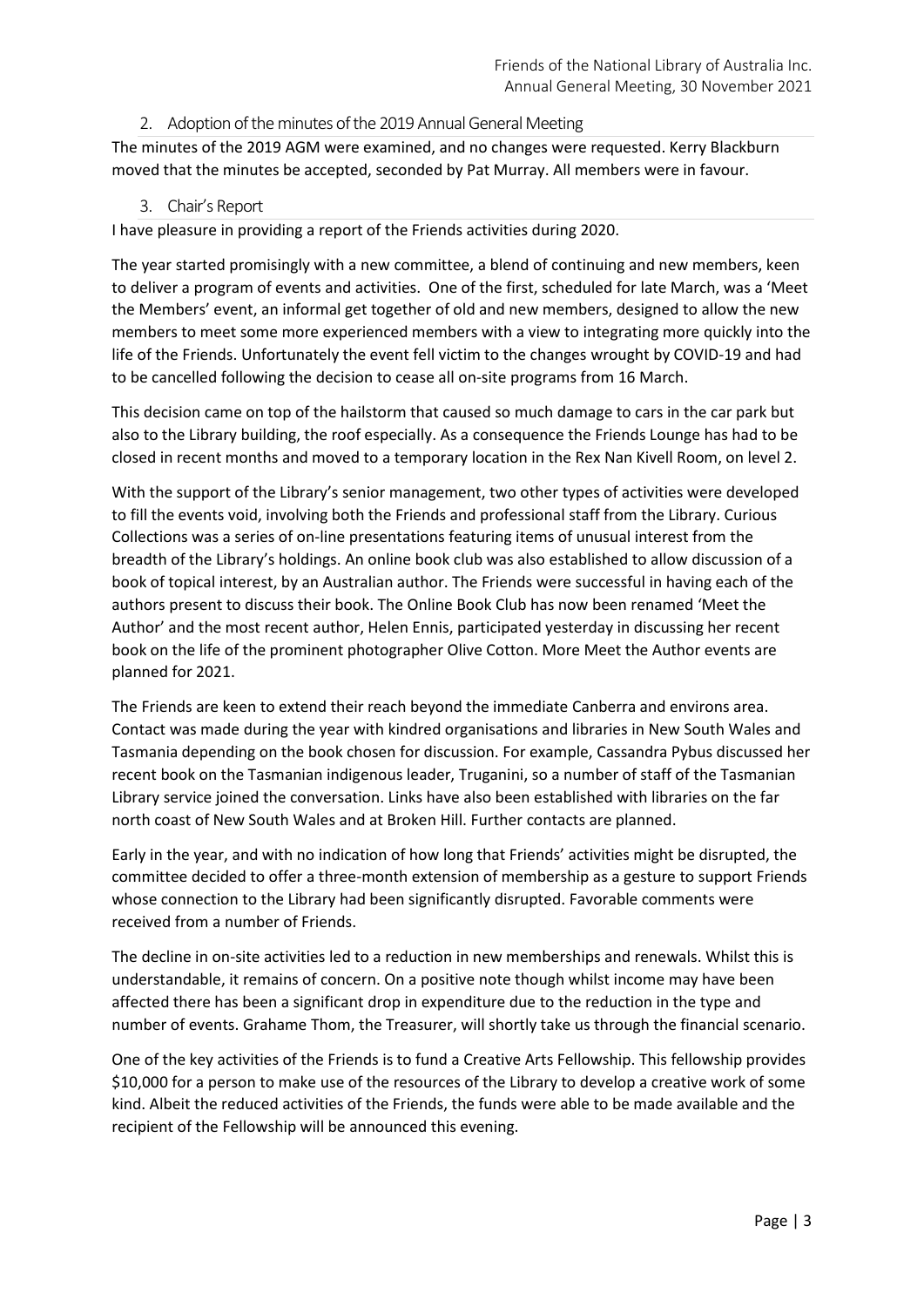2. Adoption of the minutes of the 2019 Annual General Meeting

The minutes of the 2019 AGM were examined, and no changes were requested. Kerry Blackburn moved that the minutes be accepted, seconded by Pat Murray. All members were in favour.

### 3. Chair's Report

I have pleasure in providing a report of the Friends activities during 2020.

The year started promisingly with a new committee, a blend of continuing and new members, keen to deliver a program of events and activities. One of the first, scheduled for late March, was a 'Meet the Members' event, an informal get together of old and new members, designed to allow the new members to meet some more experienced members with a view to integrating more quickly into the life of the Friends. Unfortunately the event fell victim to the changes wrought by COVID-19 and had to be cancelled following the decision to cease all on-site programs from 16 March.

This decision came on top of the hailstorm that caused so much damage to cars in the car park but also to the Library building, the roof especially. As a consequence the Friends Lounge has had to be closed in recent months and moved to a temporary location in the Rex Nan Kivell Room, on level 2.

With the support of the Library's senior management, two other types of activities were developed to fill the events void, involving both the Friends and professional staff from the Library. Curious Collections was a series of on-line presentations featuring items of unusual interest from the breadth of the Library's holdings. An online book club was also established to allow discussion of a book of topical interest, by an Australian author. The Friends were successful in having each of the authors present to discuss their book. The Online Book Club has now been renamed 'Meet the Author' and the most recent author, Helen Ennis, participated yesterday in discussing her recent book on the life of the prominent photographer Olive Cotton. More Meet the Author events are planned for 2021.

The Friends are keen to extend their reach beyond the immediate Canberra and environs area. Contact was made during the year with kindred organisations and libraries in New South Wales and Tasmania depending on the book chosen for discussion. For example, Cassandra Pybus discussed her recent book on the Tasmanian indigenous leader, Truganini, so a number of staff of the Tasmanian Library service joined the conversation. Links have also been established with libraries on the far north coast of New South Wales and at Broken Hill. Further contacts are planned.

Early in the year, and with no indication of how long that Friends' activities might be disrupted, the committee decided to offer a three-month extension of membership as a gesture to support Friends whose connection to the Library had been significantly disrupted. Favorable comments were received from a number of Friends.

The decline in on-site activities led to a reduction in new memberships and renewals. Whilst this is understandable, it remains of concern. On a positive note though whilst income may have been affected there has been a significant drop in expenditure due to the reduction in the type and number of events. Grahame Thom, the Treasurer, will shortly take us through the financial scenario.

One of the key activities of the Friends is to fund a Creative Arts Fellowship. This fellowship provides \$10,000 for a person to make use of the resources of the Library to develop a creative work of some kind. Albeit the reduced activities of the Friends, the funds were able to be made available and the recipient of the Fellowship will be announced this evening.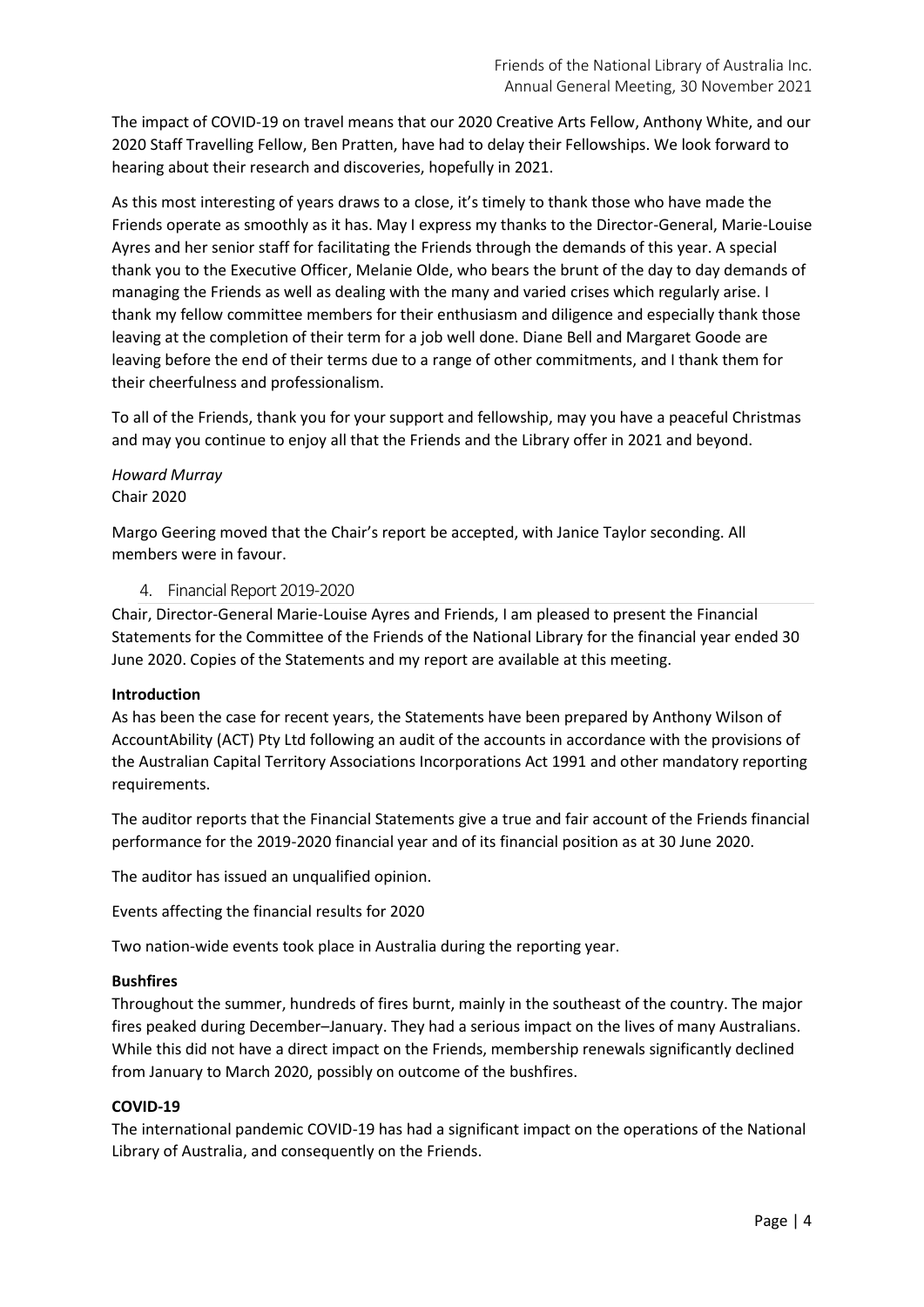The impact of COVID-19 on travel means that our 2020 Creative Arts Fellow, Anthony White, and our 2020 Staff Travelling Fellow, Ben Pratten, have had to delay their Fellowships. We look forward to hearing about their research and discoveries, hopefully in 2021.

As this most interesting of years draws to a close, it's timely to thank those who have made the Friends operate as smoothly as it has. May I express my thanks to the Director-General, Marie-Louise Ayres and her senior staff for facilitating the Friends through the demands of this year. A special thank you to the Executive Officer, Melanie Olde, who bears the brunt of the day to day demands of managing the Friends as well as dealing with the many and varied crises which regularly arise. I thank my fellow committee members for their enthusiasm and diligence and especially thank those leaving at the completion of their term for a job well done. Diane Bell and Margaret Goode are leaving before the end of their terms due to a range of other commitments, and I thank them for their cheerfulness and professionalism.

To all of the Friends, thank you for your support and fellowship, may you have a peaceful Christmas and may you continue to enjoy all that the Friends and the Library offer in 2021 and beyond.

# *Howard Murray* Chair 2020

Margo Geering moved that the Chair's report be accepted, with Janice Taylor seconding. All members were in favour.

# 4. Financial Report 2019-2020

Chair, Director-General Marie-Louise Ayres and Friends, I am pleased to present the Financial Statements for the Committee of the Friends of the National Library for the financial year ended 30 June 2020. Copies of the Statements and my report are available at this meeting.

### **Introduction**

As has been the case for recent years, the Statements have been prepared by Anthony Wilson of AccountAbility (ACT) Pty Ltd following an audit of the accounts in accordance with the provisions of the Australian Capital Territory Associations Incorporations Act 1991 and other mandatory reporting requirements.

The auditor reports that the Financial Statements give a true and fair account of the Friends financial performance for the 2019-2020 financial year and of its financial position as at 30 June 2020.

The auditor has issued an unqualified opinion.

Events affecting the financial results for 2020

Two nation-wide events took place in Australia during the reporting year.

# **Bushfires**

Throughout the summer, hundreds of fires burnt, mainly in the southeast of the country. The major fires peaked during December–January. They had a serious impact on the lives of many Australians. While this did not have a direct impact on the Friends, membership renewals significantly declined from January to March 2020, possibly on outcome of the bushfires.

# **COVID-19**

The international pandemic COVID-19 has had a significant impact on the operations of the National Library of Australia, and consequently on the Friends.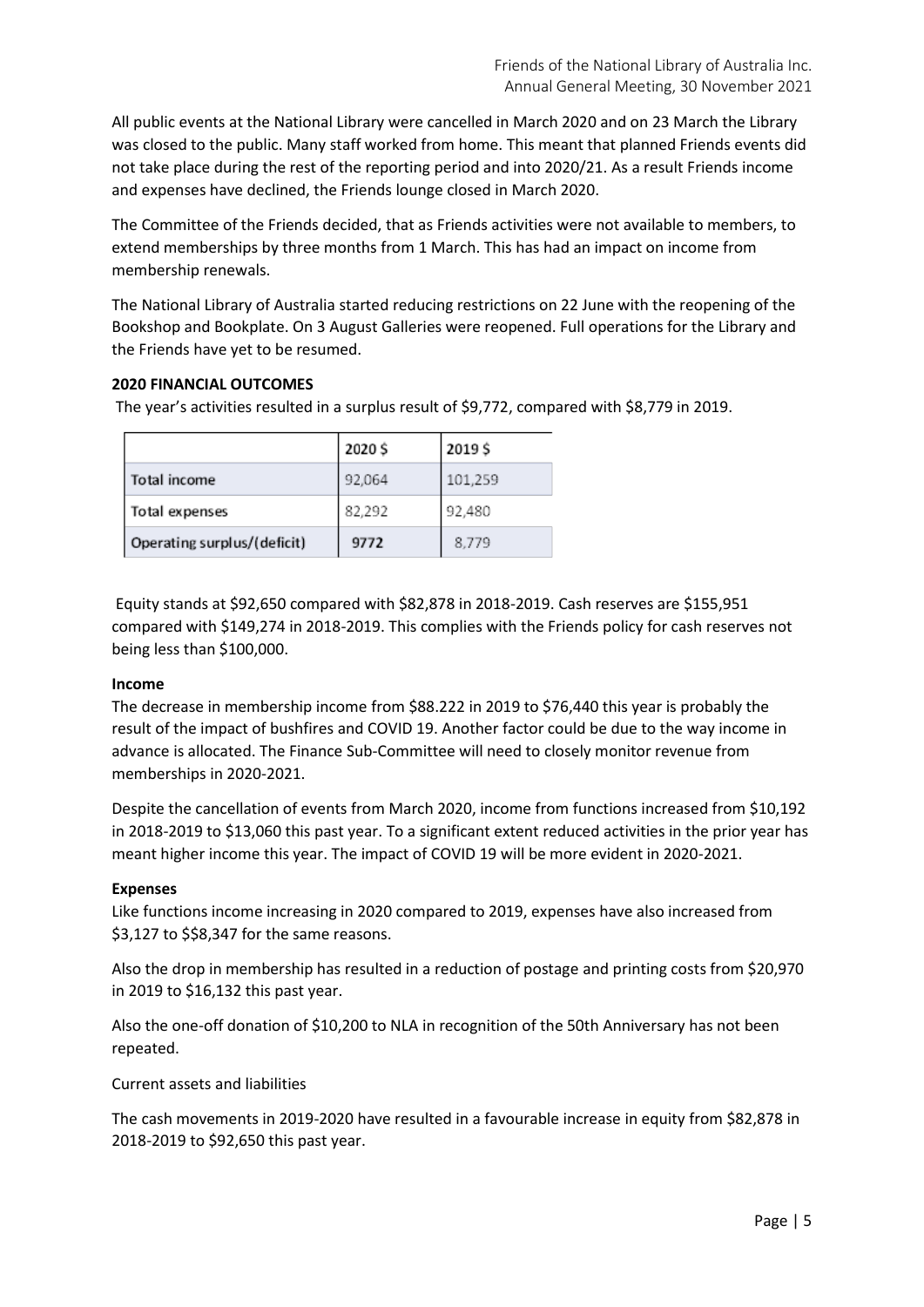All public events at the National Library were cancelled in March 2020 and on 23 March the Library was closed to the public. Many staff worked from home. This meant that planned Friends events did not take place during the rest of the reporting period and into 2020/21. As a result Friends income and expenses have declined, the Friends lounge closed in March 2020.

The Committee of the Friends decided, that as Friends activities were not available to members, to extend memberships by three months from 1 March. This has had an impact on income from membership renewals.

The National Library of Australia started reducing restrictions on 22 June with the reopening of the Bookshop and Bookplate. On 3 August Galleries were reopened. Full operations for the Library and the Friends have yet to be resumed.

# **2020 FINANCIAL OUTCOMES**

The year's activities resulted in a surplus result of \$9,772, compared with \$8,779 in 2019.

|                             | 2020\$ | 2019\$  |
|-----------------------------|--------|---------|
| Total income                | 92,064 | 101,259 |
| Total expenses              | 82,292 | 92,480  |
| Operating surplus/(deficit) | 9772   | 8,779   |

Equity stands at \$92,650 compared with \$82,878 in 2018-2019. Cash reserves are \$155,951 compared with \$149,274 in 2018-2019. This complies with the Friends policy for cash reserves not being less than \$100,000.

### **Income**

The decrease in membership income from \$88.222 in 2019 to \$76,440 this year is probably the result of the impact of bushfires and COVID 19. Another factor could be due to the way income in advance is allocated. The Finance Sub-Committee will need to closely monitor revenue from memberships in 2020-2021.

Despite the cancellation of events from March 2020, income from functions increased from \$10,192 in 2018-2019 to \$13,060 this past year. To a significant extent reduced activities in the prior year has meant higher income this year. The impact of COVID 19 will be more evident in 2020-2021.

### **Expenses**

Like functions income increasing in 2020 compared to 2019, expenses have also increased from \$3,127 to \$\$8,347 for the same reasons.

Also the drop in membership has resulted in a reduction of postage and printing costs from \$20,970 in 2019 to \$16,132 this past year.

Also the one-off donation of \$10,200 to NLA in recognition of the 50th Anniversary has not been repeated.

Current assets and liabilities

The cash movements in 2019-2020 have resulted in a favourable increase in equity from \$82,878 in 2018-2019 to \$92,650 this past year.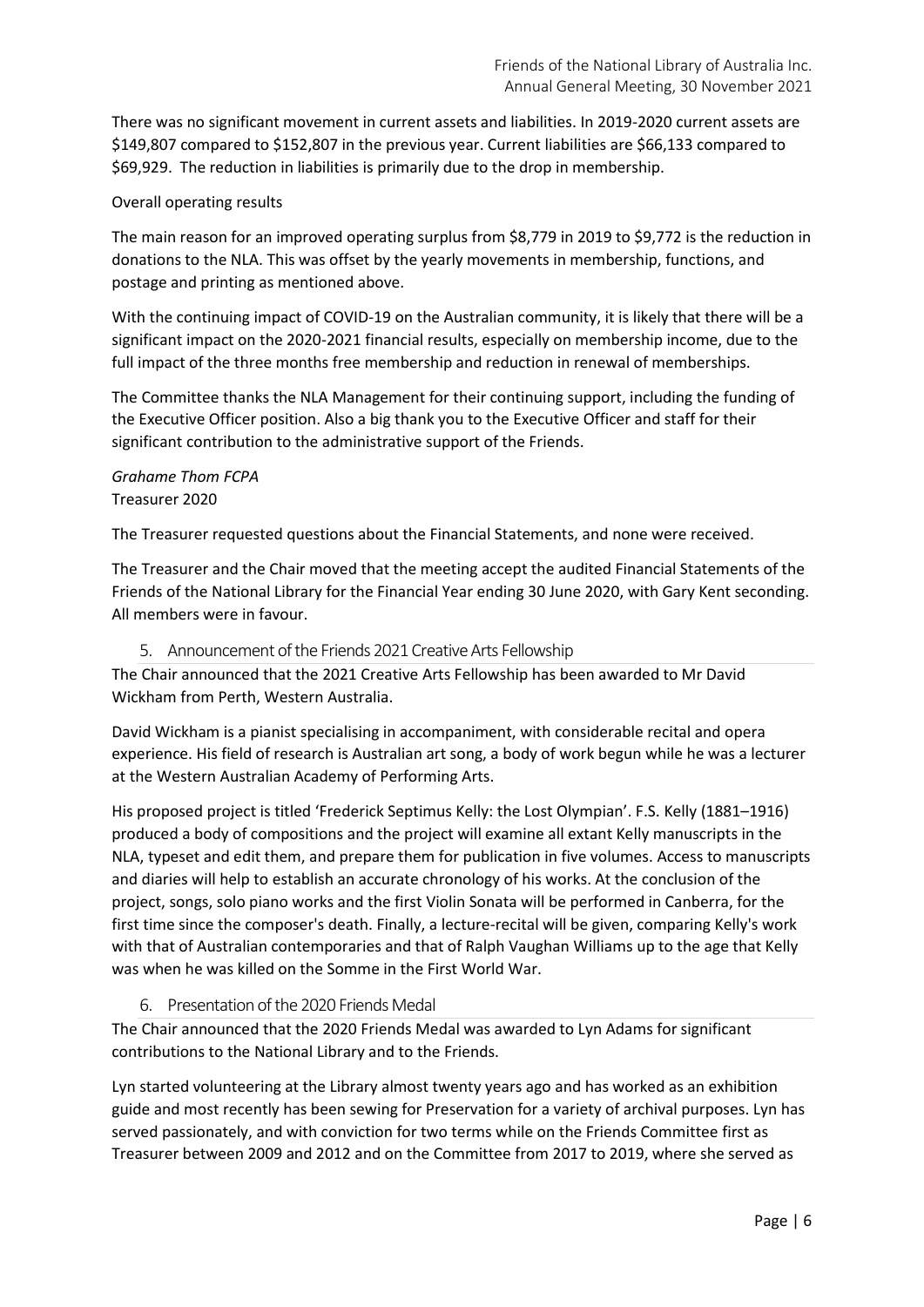There was no significant movement in current assets and liabilities. In 2019-2020 current assets are \$149,807 compared to \$152,807 in the previous year. Current liabilities are \$66,133 compared to \$69,929. The reduction in liabilities is primarily due to the drop in membership.

### Overall operating results

The main reason for an improved operating surplus from \$8,779 in 2019 to \$9,772 is the reduction in donations to the NLA. This was offset by the yearly movements in membership, functions, and postage and printing as mentioned above.

With the continuing impact of COVID-19 on the Australian community, it is likely that there will be a significant impact on the 2020-2021 financial results, especially on membership income, due to the full impact of the three months free membership and reduction in renewal of memberships.

The Committee thanks the NLA Management for their continuing support, including the funding of the Executive Officer position. Also a big thank you to the Executive Officer and staff for their significant contribution to the administrative support of the Friends.

## *Grahame Thom FCPA* Treasurer 2020

The Treasurer requested questions about the Financial Statements, and none were received.

The Treasurer and the Chair moved that the meeting accept the audited Financial Statements of the Friends of the National Library for the Financial Year ending 30 June 2020, with Gary Kent seconding. All members were in favour.

#### 5. Announcement of the Friends 2021 Creative Arts Fellowship

The Chair announced that the 2021 Creative Arts Fellowship has been awarded to Mr David Wickham from Perth, Western Australia.

David Wickham is a pianist specialising in accompaniment, with considerable recital and opera experience. His field of research is Australian art song, a body of work begun while he was a lecturer at the Western Australian Academy of Performing Arts.

His proposed project is titled 'Frederick Septimus Kelly: the Lost Olympian'. F.S. Kelly (1881–1916) produced a body of compositions and the project will examine all extant Kelly manuscripts in the NLA, typeset and edit them, and prepare them for publication in five volumes. Access to manuscripts and diaries will help to establish an accurate chronology of his works. At the conclusion of the project, songs, solo piano works and the first Violin Sonata will be performed in Canberra, for the first time since the composer's death. Finally, a lecture-recital will be given, comparing Kelly's work with that of Australian contemporaries and that of Ralph Vaughan Williams up to the age that Kelly was when he was killed on the Somme in the First World War.

### 6. Presentation of the 2020 Friends Medal

The Chair announced that the 2020 Friends Medal was awarded to Lyn Adams for significant contributions to the National Library and to the Friends.

Lyn started volunteering at the Library almost twenty years ago and has worked as an exhibition guide and most recently has been sewing for Preservation for a variety of archival purposes. Lyn has served passionately, and with conviction for two terms while on the Friends Committee first as Treasurer between 2009 and 2012 and on the Committee from 2017 to 2019, where she served as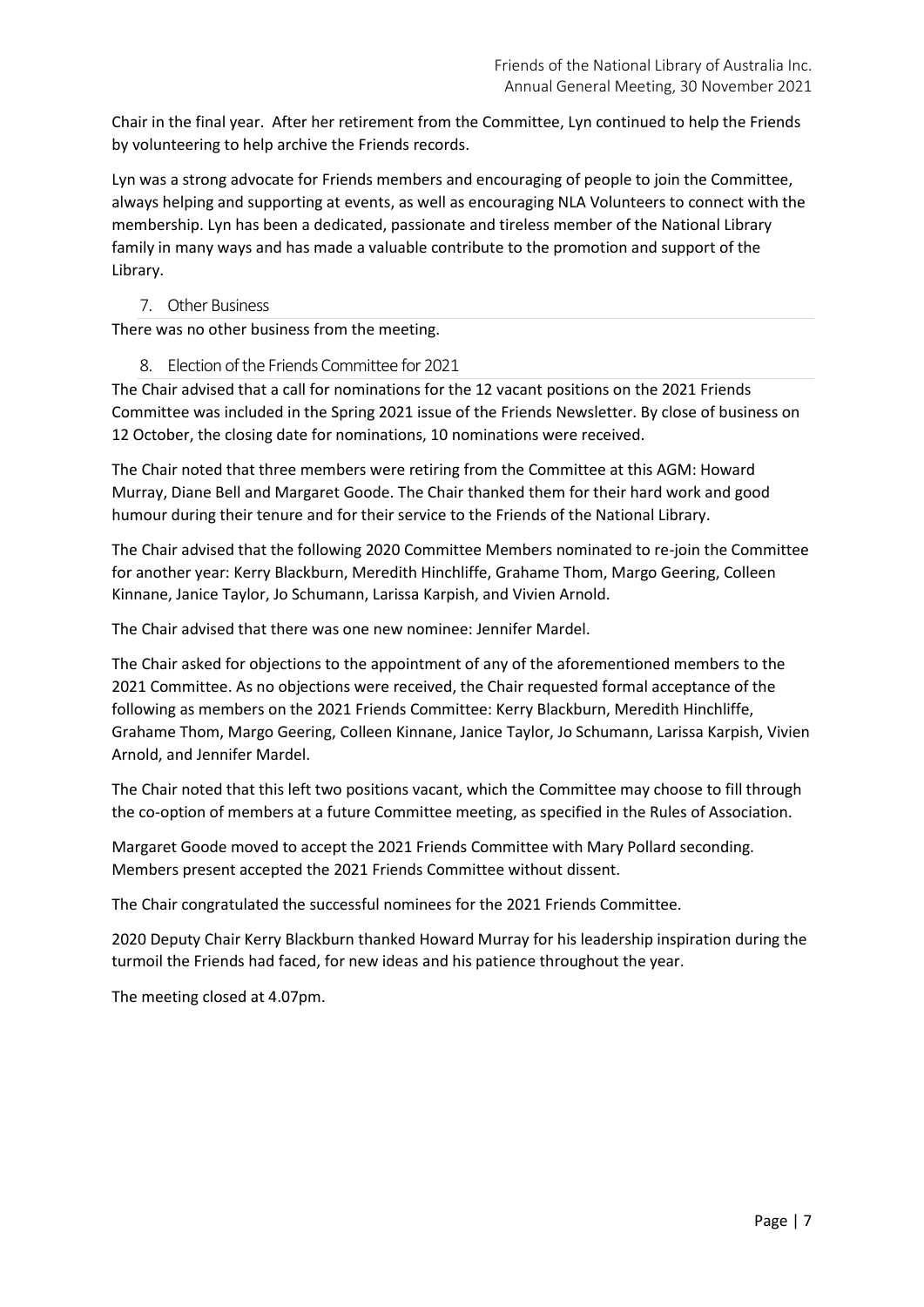Chair in the final year. After her retirement from the Committee, Lyn continued to help the Friends by volunteering to help archive the Friends records.

Lyn was a strong advocate for Friends members and encouraging of people to join the Committee, always helping and supporting at events, as well as encouraging NLA Volunteers to connect with the membership. Lyn has been a dedicated, passionate and tireless member of the National Library family in many ways and has made a valuable contribute to the promotion and support of the Library.

### 7. Other Business

There was no other business from the meeting.

8. Election of the Friends Committee for 2021

The Chair advised that a call for nominations for the 12 vacant positions on the 2021 Friends Committee was included in the Spring 2021 issue of the Friends Newsletter. By close of business on 12 October, the closing date for nominations, 10 nominations were received.

The Chair noted that three members were retiring from the Committee at this AGM: Howard Murray, Diane Bell and Margaret Goode. The Chair thanked them for their hard work and good humour during their tenure and for their service to the Friends of the National Library.

The Chair advised that the following 2020 Committee Members nominated to re-join the Committee for another year: Kerry Blackburn, Meredith Hinchliffe, Grahame Thom, Margo Geering, Colleen Kinnane, Janice Taylor, Jo Schumann, Larissa Karpish, and Vivien Arnold.

The Chair advised that there was one new nominee: Jennifer Mardel.

The Chair asked for objections to the appointment of any of the aforementioned members to the 2021 Committee. As no objections were received, the Chair requested formal acceptance of the following as members on the 2021 Friends Committee: Kerry Blackburn, Meredith Hinchliffe, Grahame Thom, Margo Geering, Colleen Kinnane, Janice Taylor, Jo Schumann, Larissa Karpish, Vivien Arnold, and Jennifer Mardel.

The Chair noted that this left two positions vacant, which the Committee may choose to fill through the co-option of members at a future Committee meeting, as specified in the Rules of Association.

Margaret Goode moved to accept the 2021 Friends Committee with Mary Pollard seconding. Members present accepted the 2021 Friends Committee without dissent.

The Chair congratulated the successful nominees for the 2021 Friends Committee.

2020 Deputy Chair Kerry Blackburn thanked Howard Murray for his leadership inspiration during the turmoil the Friends had faced, for new ideas and his patience throughout the year.

The meeting closed at 4.07pm.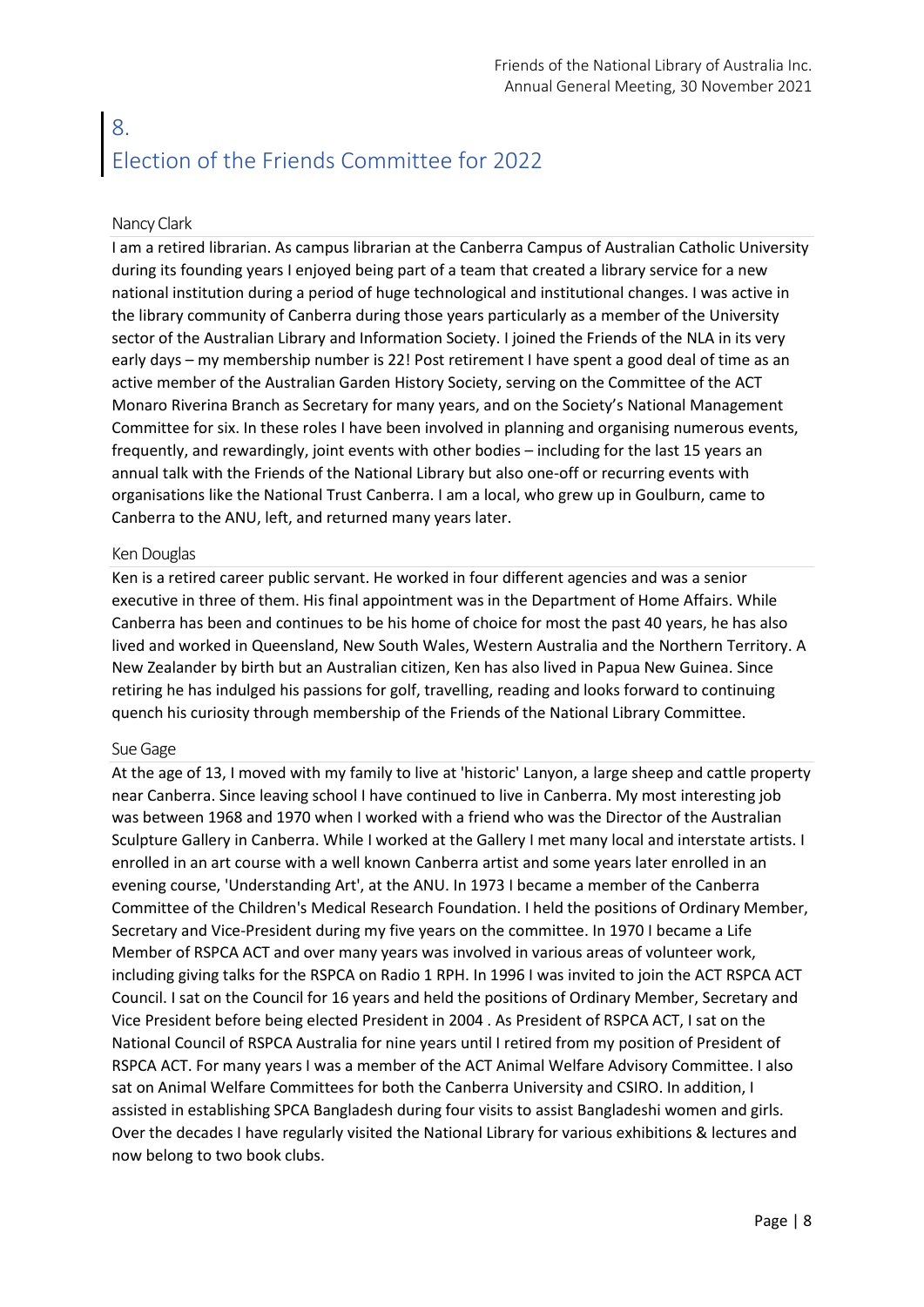# 8. Election of the Friends Committee for 2022

#### Nancy Clark

I am a retired librarian. As campus librarian at the Canberra Campus of Australian Catholic University during its founding years I enjoyed being part of a team that created a library service for a new national institution during a period of huge technological and institutional changes. I was active in the library community of Canberra during those years particularly as a member of the University sector of the Australian Library and Information Society. I joined the Friends of the NLA in its very early days – my membership number is 22! Post retirement I have spent a good deal of time as an active member of the Australian Garden History Society, serving on the Committee of the ACT Monaro Riverina Branch as Secretary for many years, and on the Society's National Management Committee for six. In these roles I have been involved in planning and organising numerous events, frequently, and rewardingly, joint events with other bodies – including for the last 15 years an annual talk with the Friends of the National Library but also one-off or recurring events with organisations like the National Trust Canberra. I am a local, who grew up in Goulburn, came to Canberra to the ANU, left, and returned many years later.

#### Ken Douglas

Ken is a retired career public servant. He worked in four different agencies and was a senior executive in three of them. His final appointment was in the Department of Home Affairs. While Canberra has been and continues to be his home of choice for most the past 40 years, he has also lived and worked in Queensland, New South Wales, Western Australia and the Northern Territory. A New Zealander by birth but an Australian citizen, Ken has also lived in Papua New Guinea. Since retiring he has indulged his passions for golf, travelling, reading and looks forward to continuing quench his curiosity through membership of the Friends of the National Library Committee.

#### Sue Gage

At the age of 13, I moved with my family to live at 'historic' Lanyon, a large sheep and cattle property near Canberra. Since leaving school I have continued to live in Canberra. My most interesting job was between 1968 and 1970 when I worked with a friend who was the Director of the Australian Sculpture Gallery in Canberra. While I worked at the Gallery I met many local and interstate artists. I enrolled in an art course with a well known Canberra artist and some years later enrolled in an evening course, 'Understanding Art', at the ANU. In 1973 I became a member of the Canberra Committee of the Children's Medical Research Foundation. I held the positions of Ordinary Member, Secretary and Vice-President during my five years on the committee. In 1970 I became a Life Member of RSPCA ACT and over many years was involved in various areas of volunteer work, including giving talks for the RSPCA on Radio 1 RPH. In 1996 I was invited to join the ACT RSPCA ACT Council. I sat on the Council for 16 years and held the positions of Ordinary Member, Secretary and Vice President before being elected President in 2004 . As President of RSPCA ACT, I sat on the National Council of RSPCA Australia for nine years until I retired from my position of President of RSPCA ACT. For many years I was a member of the ACT Animal Welfare Advisory Committee. I also sat on Animal Welfare Committees for both the Canberra University and CSIRO. In addition, I assisted in establishing SPCA Bangladesh during four visits to assist Bangladeshi women and girls. Over the decades I have regularly visited the National Library for various exhibitions & lectures and now belong to two book clubs.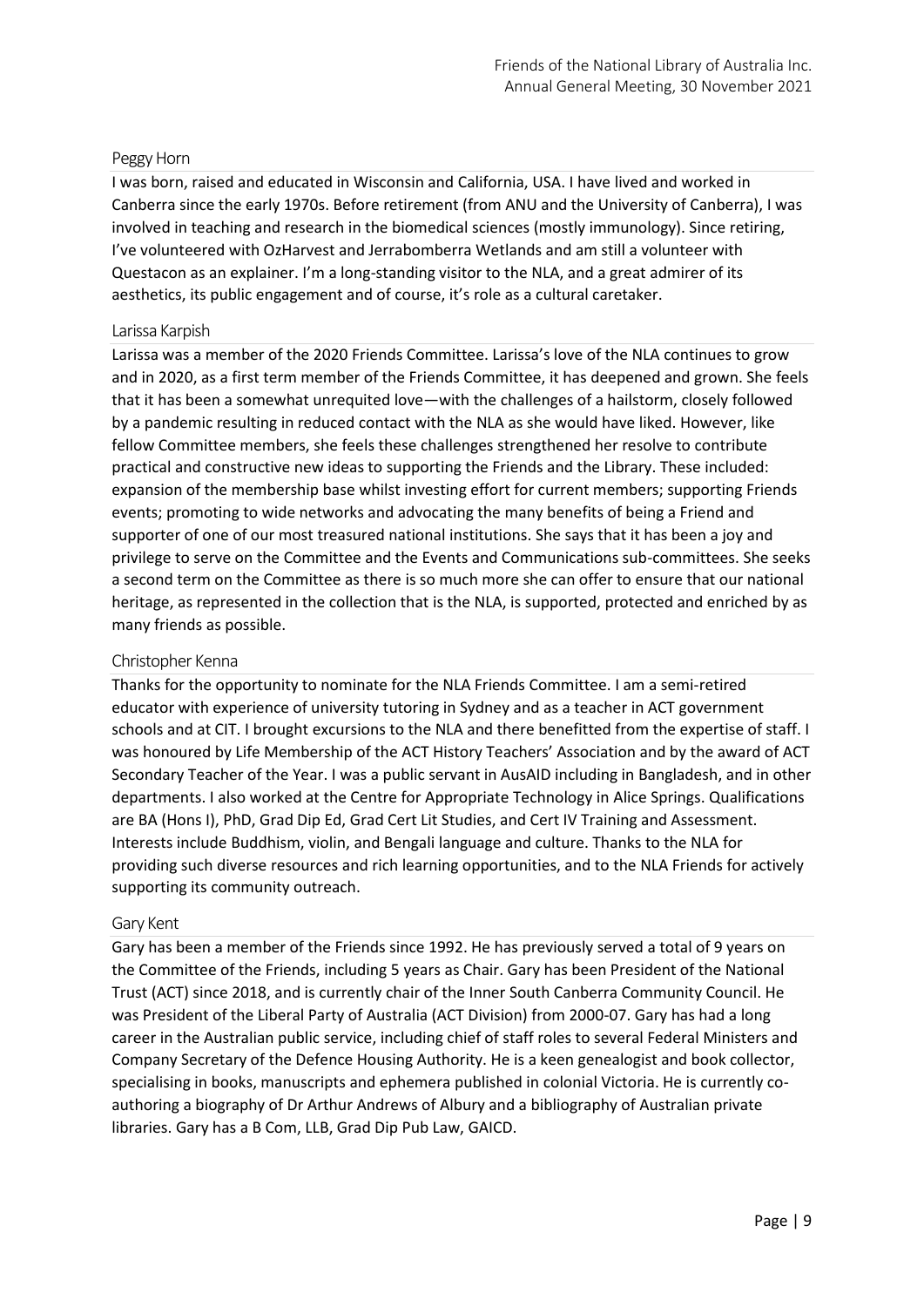### Peggy Horn

I was born, raised and educated in Wisconsin and California, USA. I have lived and worked in Canberra since the early 1970s. Before retirement (from ANU and the University of Canberra), I was involved in teaching and research in the biomedical sciences (mostly immunology). Since retiring, I've volunteered with OzHarvest and Jerrabomberra Wetlands and am still a volunteer with Questacon as an explainer. I'm a long-standing visitor to the NLA, and a great admirer of its aesthetics, its public engagement and of course, it's role as a cultural caretaker.

#### Larissa Karpish

Larissa was a member of the 2020 Friends Committee. Larissa's love of the NLA continues to grow and in 2020, as a first term member of the Friends Committee, it has deepened and grown. She feels that it has been a somewhat unrequited love—with the challenges of a hailstorm, closely followed by a pandemic resulting in reduced contact with the NLA as she would have liked. However, like fellow Committee members, she feels these challenges strengthened her resolve to contribute practical and constructive new ideas to supporting the Friends and the Library. These included: expansion of the membership base whilst investing effort for current members; supporting Friends events; promoting to wide networks and advocating the many benefits of being a Friend and supporter of one of our most treasured national institutions. She says that it has been a joy and privilege to serve on the Committee and the Events and Communications sub-committees. She seeks a second term on the Committee as there is so much more she can offer to ensure that our national heritage, as represented in the collection that is the NLA, is supported, protected and enriched by as many friends as possible.

#### Christopher Kenna

Thanks for the opportunity to nominate for the NLA Friends Committee. I am a semi-retired educator with experience of university tutoring in Sydney and as a teacher in ACT government schools and at CIT. I brought excursions to the NLA and there benefitted from the expertise of staff. I was honoured by Life Membership of the ACT History Teachers' Association and by the award of ACT Secondary Teacher of the Year. I was a public servant in AusAID including in Bangladesh, and in other departments. I also worked at the Centre for Appropriate Technology in Alice Springs. Qualifications are BA (Hons I), PhD, Grad Dip Ed, Grad Cert Lit Studies, and Cert IV Training and Assessment. Interests include Buddhism, violin, and Bengali language and culture. Thanks to the NLA for providing such diverse resources and rich learning opportunities, and to the NLA Friends for actively supporting its community outreach.

#### Gary Kent

Gary has been a member of the Friends since 1992. He has previously served a total of 9 years on the Committee of the Friends, including 5 years as Chair. Gary has been President of the National Trust (ACT) since 2018, and is currently chair of the Inner South Canberra Community Council. He was President of the Liberal Party of Australia (ACT Division) from 2000-07. Gary has had a long career in the Australian public service, including chief of staff roles to several Federal Ministers and Company Secretary of the Defence Housing Authority. He is a keen genealogist and book collector, specialising in books, manuscripts and ephemera published in colonial Victoria. He is currently coauthoring a biography of Dr Arthur Andrews of Albury and a bibliography of Australian private libraries. Gary has a B Com, LLB, Grad Dip Pub Law, GAICD.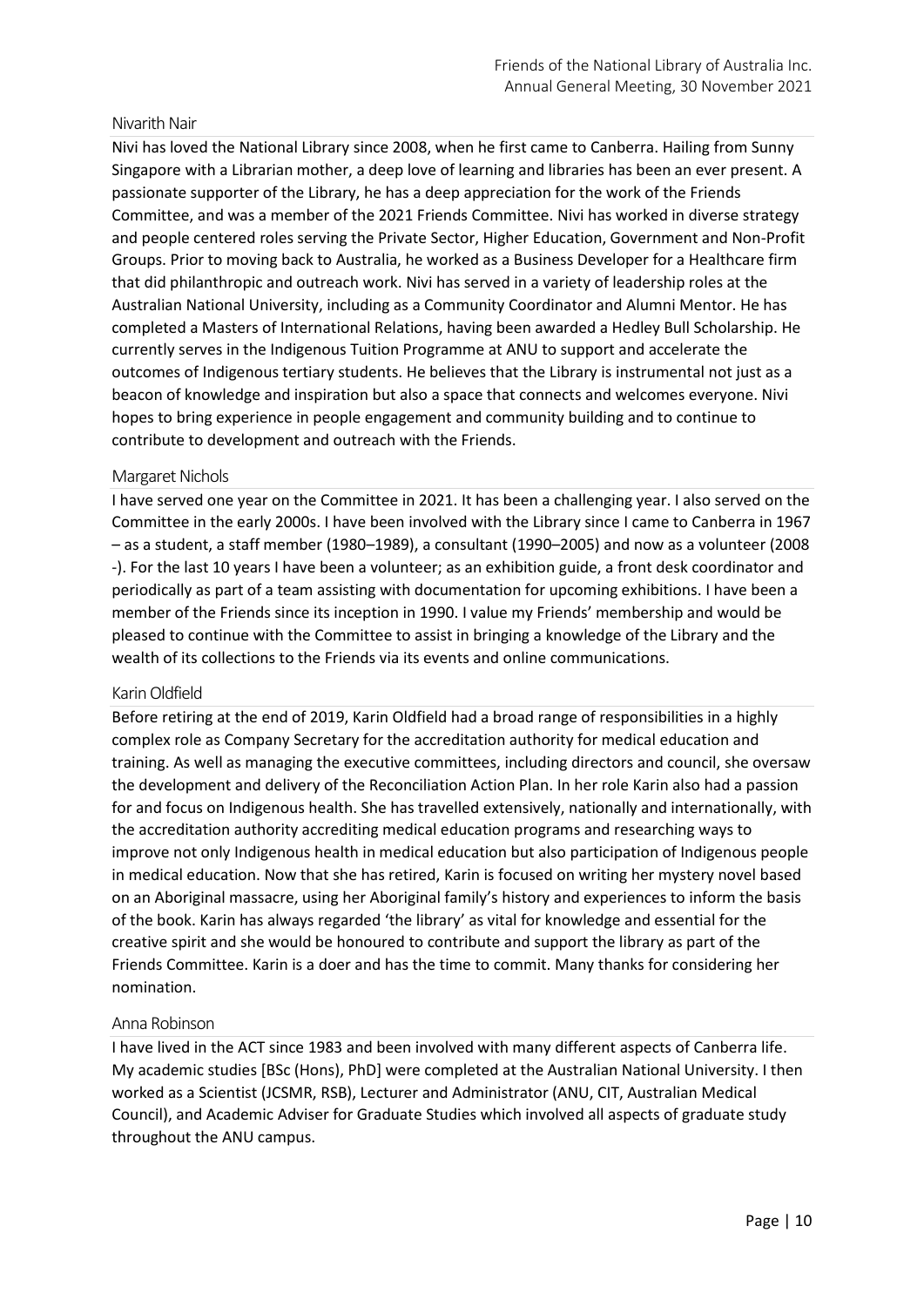#### Nivarith Nair

Nivi has loved the National Library since 2008, when he first came to Canberra. Hailing from Sunny Singapore with a Librarian mother, a deep love of learning and libraries has been an ever present. A passionate supporter of the Library, he has a deep appreciation for the work of the Friends Committee, and was a member of the 2021 Friends Committee. Nivi has worked in diverse strategy and people centered roles serving the Private Sector, Higher Education, Government and Non-Profit Groups. Prior to moving back to Australia, he worked as a Business Developer for a Healthcare firm that did philanthropic and outreach work. Nivi has served in a variety of leadership roles at the Australian National University, including as a Community Coordinator and Alumni Mentor. He has completed a Masters of International Relations, having been awarded a Hedley Bull Scholarship. He currently serves in the Indigenous Tuition Programme at ANU to support and accelerate the outcomes of Indigenous tertiary students. He believes that the Library is instrumental not just as a beacon of knowledge and inspiration but also a space that connects and welcomes everyone. Nivi hopes to bring experience in people engagement and community building and to continue to contribute to development and outreach with the Friends.

#### Margaret Nichols

I have served one year on the Committee in 2021. It has been a challenging year. I also served on the Committee in the early 2000s. I have been involved with the Library since I came to Canberra in 1967 – as a student, a staff member (1980–1989), a consultant (1990–2005) and now as a volunteer (2008 -). For the last 10 years I have been a volunteer; as an exhibition guide, a front desk coordinator and periodically as part of a team assisting with documentation for upcoming exhibitions. I have been a member of the Friends since its inception in 1990. I value my Friends' membership and would be pleased to continue with the Committee to assist in bringing a knowledge of the Library and the wealth of its collections to the Friends via its events and online communications.

#### Karin Oldfield

Before retiring at the end of 2019, Karin Oldfield had a broad range of responsibilities in a highly complex role as Company Secretary for the accreditation authority for medical education and training. As well as managing the executive committees, including directors and council, she oversaw the development and delivery of the Reconciliation Action Plan. In her role Karin also had a passion for and focus on Indigenous health. She has travelled extensively, nationally and internationally, with the accreditation authority accrediting medical education programs and researching ways to improve not only Indigenous health in medical education but also participation of Indigenous people in medical education. Now that she has retired, Karin is focused on writing her mystery novel based on an Aboriginal massacre, using her Aboriginal family's history and experiences to inform the basis of the book. Karin has always regarded 'the library' as vital for knowledge and essential for the creative spirit and she would be honoured to contribute and support the library as part of the Friends Committee. Karin is a doer and has the time to commit. Many thanks for considering her nomination.

#### Anna Robinson

I have lived in the ACT since 1983 and been involved with many different aspects of Canberra life. My academic studies [BSc (Hons), PhD] were completed at the Australian National University. I then worked as a Scientist (JCSMR, RSB), Lecturer and Administrator (ANU, CIT, Australian Medical Council), and Academic Adviser for Graduate Studies which involved all aspects of graduate study throughout the ANU campus.